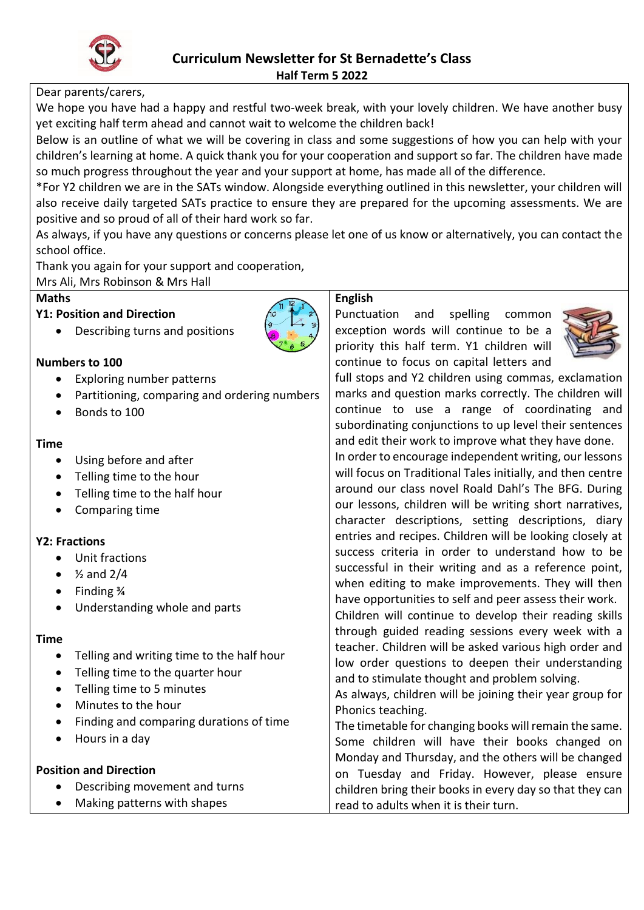

# Dear parents/carers,

We hope you have had a happy and restful two-week break, with your lovely children. We have another busy yet exciting half term ahead and cannot wait to welcome the children back!

Below is an outline of what we will be covering in class and some suggestions of how you can help with your children's learning at home. A quick thank you for your cooperation and support so far. The children have made so much progress throughout the year and your support at home, has made all of the difference.

\*For Y2 children we are in the SATs window. Alongside everything outlined in this newsletter, your children will also receive daily targeted SATs practice to ensure they are prepared for the upcoming assessments. We are positive and so proud of all of their hard work so far.

As always, if you have any questions or concerns please let one of us know or alternatively, you can contact the school office.

Thank you again for your support and cooperation,

Mrs Ali, Mrs Robinson & Mrs Hall

## **Maths**

#### **Y1: Position and Direction**



## **Numbers to 100**

- Exploring number patterns
- Partitioning, comparing and ordering numbers
- Bonds to 100

#### **Time**

- Using before and after
- Telling time to the hour
- Telling time to the half hour
- Comparing time

## **Y2: Fractions**

- Unit fractions
- $\bullet$   $\frac{1}{2}$  and 2/4
- Finding 3/4
- Understanding whole and parts

## **Time**

- Telling and writing time to the half hour
- Telling time to the quarter hour
- Telling time to 5 minutes
- Minutes to the hour
- Finding and comparing durations of time
- Hours in a day

# **Position and Direction** Describing movement and turns Making patterns with shapes read to adults when it is their turn.



# **English**

Punctuation and spelling common exception words will continue to be a priority this half term. Y1 children will continue to focus on capital letters and



full stops and Y2 children using commas, exclamation marks and question marks correctly. The children will continue to use a range of coordinating and subordinating conjunctions to up level their sentences and edit their work to improve what they have done.

In order to encourage independent writing, our lessons will focus on Traditional Tales initially, and then centre around our class novel Roald Dahl's The BFG. During our lessons, children will be writing short narratives, character descriptions, setting descriptions, diary entries and recipes. Children will be looking closely at success criteria in order to understand how to be successful in their writing and as a reference point, when editing to make improvements. They will then have opportunities to self and peer assess their work.

Children will continue to develop their reading skills through guided reading sessions every week with a teacher. Children will be asked various high order and low order questions to deepen their understanding and to stimulate thought and problem solving.

As always, children will be joining their year group for Phonics teaching.

The timetable for changing books will remain the same. Some children will have their books changed on Monday and Thursday, and the others will be changed on Tuesday and Friday. However, please ensure children bring their books in every day so that they can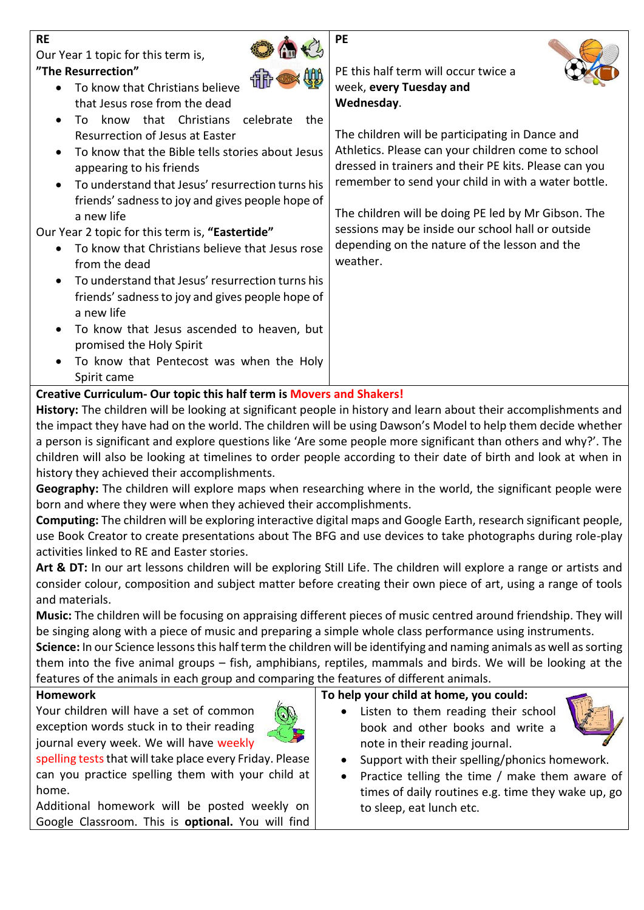| <b>RE</b>                                                     | PE                                                    |
|---------------------------------------------------------------|-------------------------------------------------------|
| Our Year 1 topic for this term is,                            |                                                       |
| "The Resurrection"                                            | PE this half term will occur twice a                  |
| To know that Christians believe                               | week, every Tuesday and                               |
| that Jesus rose from the dead                                 | Wednesday.                                            |
| know that Christians<br>the<br>celebrate<br>Tο.               |                                                       |
| Resurrection of Jesus at Easter                               | The children will be participating in Dance and       |
| To know that the Bible tells stories about Jesus              | Athletics. Please can your children come to school    |
| appearing to his friends                                      | dressed in trainers and their PE kits. Please can you |
| To understand that Jesus' resurrection turns his<br>$\bullet$ | remember to send your child in with a water bottle.   |
| friends' sadness to joy and gives people hope of              |                                                       |
| a new life                                                    | The children will be doing PE led by Mr Gibson. The   |
| Our Year 2 topic for this term is, "Eastertide"               | sessions may be inside our school hall or outside     |
| To know that Christians believe that Jesus rose               | depending on the nature of the lesson and the         |
| from the dead                                                 | weather.                                              |
| To understand that Jesus' resurrection turns his              |                                                       |
| friends' sadness to joy and gives people hope of              |                                                       |
| a new life                                                    |                                                       |
| To know that Jesus ascended to heaven, but                    |                                                       |
| promised the Holy Spirit                                      |                                                       |
| To know that Pentecost was when the Holy                      |                                                       |
| Spirit came                                                   |                                                       |

## **Creative Curriculum- Our topic this half term is Movers and Shakers!**

**History:** The children will be looking at significant people in history and learn about their accomplishments and the impact they have had on the world. The children will be using Dawson's Model to help them decide whether a person is significant and explore questions like 'Are some people more significant than others and why?'. The children will also be looking at timelines to order people according to their date of birth and look at when in history they achieved their accomplishments.

**Geography:** The children will explore maps when researching where in the world, the significant people were born and where they were when they achieved their accomplishments.

**Computing:** The children will be exploring interactive digital maps and Google Earth, research significant people, use Book Creator to create presentations about The BFG and use devices to take photographs during role-play activities linked to RE and Easter stories.

**Art & DT:** In our art lessons children will be exploring Still Life. The children will explore a range or artists and consider colour, composition and subject matter before creating their own piece of art, using a range of tools and materials.

**Music:** The children will be focusing on appraising different pieces of music centred around friendship. They will be singing along with a piece of music and preparing a simple whole class performance using instruments.

**Science:** In our Science lessons this half term the children will be identifying and naming animals as well as sorting them into the five animal groups – fish, amphibians, reptiles, mammals and birds. We will be looking at the features of the animals in each group and comparing the features of different animals.

#### **Homework**

Your children will have a set of common exception words stuck in to their reading journal every week. We will have weekly



spelling tests that will take place every Friday. Please can you practice spelling them with your child at home.

Additional homework will be posted weekly on Google Classroom. This is **optional.** You will find

**To help your child at home, you could:**

 Listen to them reading their school book and other books and write a note in their reading journal.



- Support with their spelling/phonics homework.
- Practice telling the time / make them aware of times of daily routines e.g. time they wake up, go to sleep, eat lunch etc.